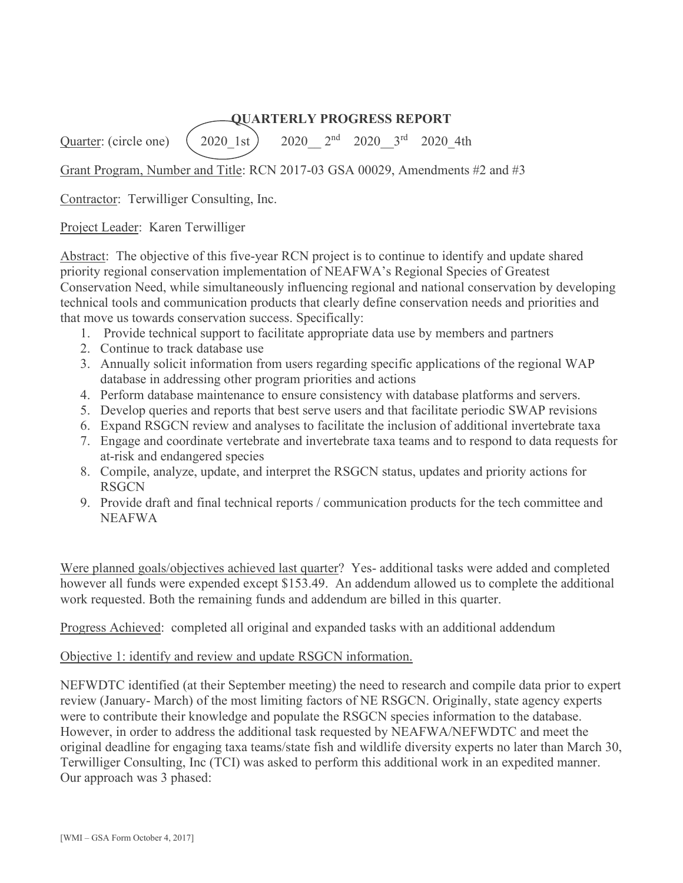### **QUARTERLY PROGRESS REPORT**

Quarter: (circle one)  $(2020 \text{ 1st})$   $2020 \text{ 2nd}$   $2020 \text{ 3rd}$   $2020 \text{ 4th}$ 

Grant Program, Number and Title: RCN 2017-03 GSA 00029, Amendments #2 and #3

Contractor: Terwilliger Consulting, Inc.

Project Leader: Karen Terwilliger

Abstract: The objective of this five-year RCN project is to continue to identify and update shared priority regional conservation implementation of NEAFWA's Regional Species of Greatest Conservation Need, while simultaneously influencing regional and national conservation by developing technical tools and communication products that clearly define conservation needs and priorities and that move us towards conservation success. Specifically:

- 1. Provide technical support to facilitate appropriate data use by members and partners
- 2. Continue to track database use
- 3. Annually solicit information from users regarding specific applications of the regional WAP database in addressing other program priorities and actions
- 4. Perform database maintenance to ensure consistency with database platforms and servers.
- 5. Develop queries and reports that best serve users and that facilitate periodic SWAP revisions
- 6. Expand RSGCN review and analyses to facilitate the inclusion of additional invertebrate taxa
- 7. Engage and coordinate vertebrate and invertebrate taxa teams and to respond to data requests for at-risk and endangered species
- 8. Compile, analyze, update, and interpret the RSGCN status, updates and priority actions for RSGCN
- 9. Provide draft and final technical reports / communication products for the tech committee and NEAFWA

Were planned goals/objectives achieved last quarter? Yes- additional tasks were added and completed however all funds were expended except \$153.49. An addendum allowed us to complete the additional work requested. Both the remaining funds and addendum are billed in this quarter.

Progress Achieved: completed all original and expanded tasks with an additional addendum

### Objective 1: identify and review and update RSGCN information.

NEFWDTC identified (at their September meeting) the need to research and compile data prior to expert review (January- March) of the most limiting factors of NE RSGCN. Originally, state agency experts were to contribute their knowledge and populate the RSGCN species information to the database. However, in order to address the additional task requested by NEAFWA/NEFWDTC and meet the original deadline for engaging taxa teams/state fish and wildlife diversity experts no later than March 30, Terwilliger Consulting, Inc (TCI) was asked to perform this additional work in an expedited manner. Our approach was 3 phased: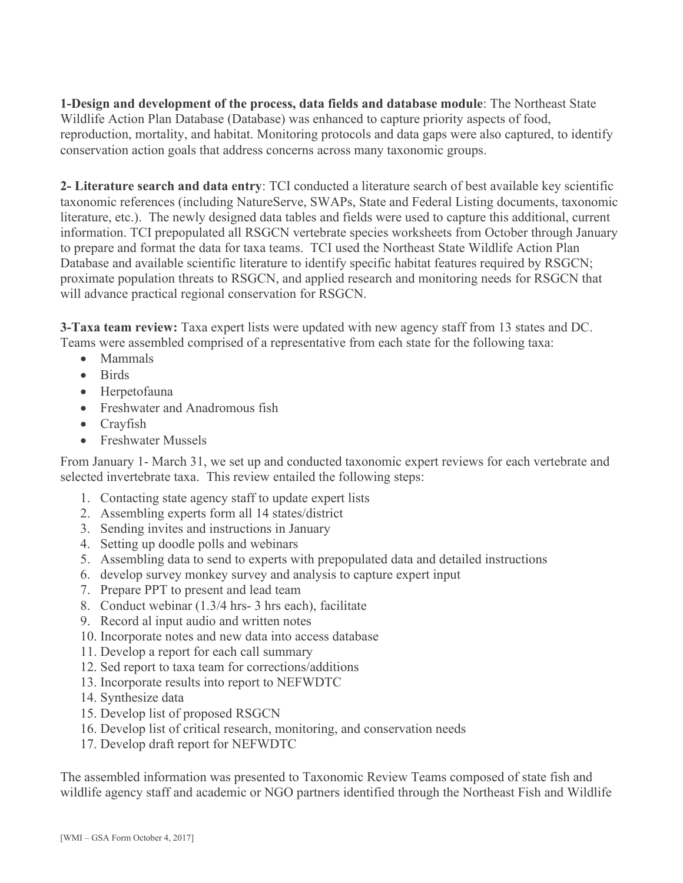**1-Design and development of the process, data fields and database module**: The Northeast State Wildlife Action Plan Database (Database) was enhanced to capture priority aspects of food, reproduction, mortality, and habitat. Monitoring protocols and data gaps were also captured, to identify conservation action goals that address concerns across many taxonomic groups.

**2- Literature search and data entry**: TCI conducted a literature search of best available key scientific taxonomic references (including NatureServe, SWAPs, State and Federal Listing documents, taxonomic literature, etc.). The newly designed data tables and fields were used to capture this additional, current information. TCI prepopulated all RSGCN vertebrate species worksheets from October through January to prepare and format the data for taxa teams. TCI used the Northeast State Wildlife Action Plan Database and available scientific literature to identify specific habitat features required by RSGCN; proximate population threats to RSGCN, and applied research and monitoring needs for RSGCN that will advance practical regional conservation for RSGCN.

**3-Taxa team review:** Taxa expert lists were updated with new agency staff from 13 states and DC. Teams were assembled comprised of a representative from each state for the following taxa:

- · Mammals
- · Birds
- · Herpetofauna
- · Freshwater and Anadromous fish
- Crayfish
- Freshwater Mussels

From January 1- March 31, we set up and conducted taxonomic expert reviews for each vertebrate and selected invertebrate taxa. This review entailed the following steps:

- 1. Contacting state agency staff to update expert lists
- 2. Assembling experts form all 14 states/district
- 3. Sending invites and instructions in January
- 4. Setting up doodle polls and webinars
- 5. Assembling data to send to experts with prepopulated data and detailed instructions
- 6. develop survey monkey survey and analysis to capture expert input
- 7. Prepare PPT to present and lead team
- 8. Conduct webinar (1.3/4 hrs- 3 hrs each), facilitate
- 9. Record al input audio and written notes
- 10. Incorporate notes and new data into access database
- 11. Develop a report for each call summary
- 12. Sed report to taxa team for corrections/additions
- 13. Incorporate results into report to NEFWDTC
- 14. Synthesize data
- 15. Develop list of proposed RSGCN
- 16. Develop list of critical research, monitoring, and conservation needs
- 17. Develop draft report for NEFWDTC

The assembled information was presented to Taxonomic Review Teams composed of state fish and wildlife agency staff and academic or NGO partners identified through the Northeast Fish and Wildlife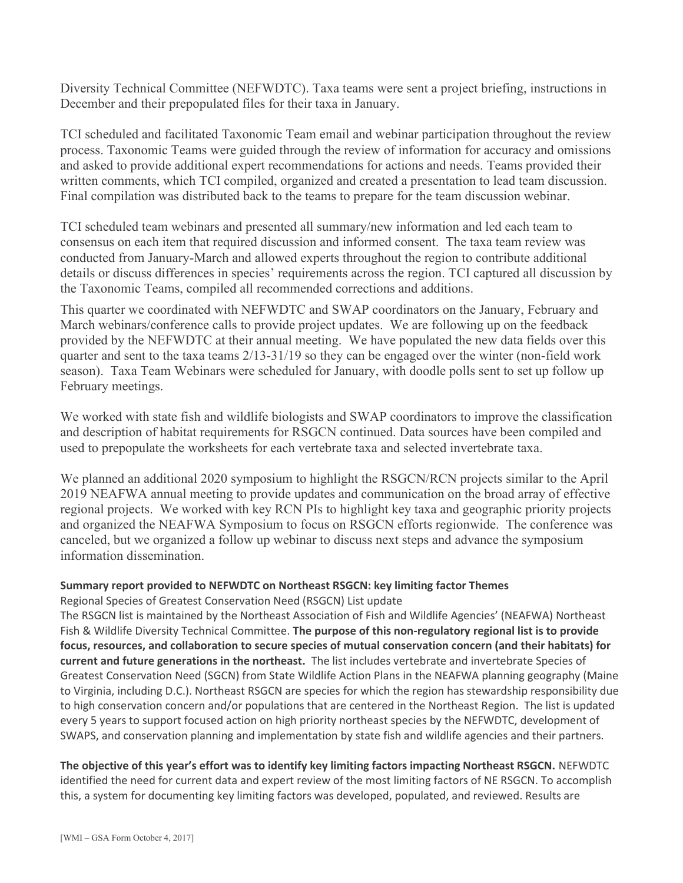Diversity Technical Committee (NEFWDTC). Taxa teams were sent a project briefing, instructions in December and their prepopulated files for their taxa in January.

TCI scheduled and facilitated Taxonomic Team email and webinar participation throughout the review process. Taxonomic Teams were guided through the review of information for accuracy and omissions and asked to provide additional expert recommendations for actions and needs. Teams provided their written comments, which TCI compiled, organized and created a presentation to lead team discussion. Final compilation was distributed back to the teams to prepare for the team discussion webinar.

TCI scheduled team webinars and presented all summary/new information and led each team to consensus on each item that required discussion and informed consent. The taxa team review was conducted from January-March and allowed experts throughout the region to contribute additional details or discuss differences in species' requirements across the region. TCI captured all discussion by the Taxonomic Teams, compiled all recommended corrections and additions.

This quarter we coordinated with NEFWDTC and SWAP coordinators on the January, February and March webinars/conference calls to provide project updates. We are following up on the feedback provided by the NEFWDTC at their annual meeting. We have populated the new data fields over this quarter and sent to the taxa teams 2/13-31/19 so they can be engaged over the winter (non-field work season). Taxa Team Webinars were scheduled for January, with doodle polls sent to set up follow up February meetings.

We worked with state fish and wildlife biologists and SWAP coordinators to improve the classification and description of habitat requirements for RSGCN continued. Data sources have been compiled and used to prepopulate the worksheets for each vertebrate taxa and selected invertebrate taxa.

We planned an additional 2020 symposium to highlight the RSGCN/RCN projects similar to the April 2019 NEAFWA annual meeting to provide updates and communication on the broad array of effective regional projects. We worked with key RCN PIs to highlight key taxa and geographic priority projects and organized the NEAFWA Symposium to focus on RSGCN efforts regionwide. The conference was canceled, but we organized a follow up webinar to discuss next steps and advance the symposium information dissemination.

# **Summary report provided to NEFWDTC on Northeast RSGCN: key limiting factor Themes**

Regional Species of Greatest Conservation Need (RSGCN) List update

The RSGCN list is maintained by the Northeast Association of Fish and Wildlife Agencies' (NEAFWA) Northeast Fish & Wildlife Diversity Technical Committee. **The purpose of this non-regulatory regional list is to provide focus, resources, and collaboration to secure species of mutual conservation concern (and their habitats) for current and future generations in the northeast.** The list includes vertebrate and invertebrate Species of Greatest Conservation Need (SGCN) from State Wildlife Action Plans in the NEAFWA planning geography (Maine to Virginia, including D.C.). Northeast RSGCN are species for which the region has stewardship responsibility due to high conservation concern and/or populations that are centered in the Northeast Region. The list is updated every 5 years to support focused action on high priority northeast species by the NEFWDTC, development of SWAPS, and conservation planning and implementation by state fish and wildlife agencies and their partners.

**The objective of this year's effort was to identify key limiting factors impacting Northeast RSGCN.** NEFWDTC

identified the need for current data and expert review of the most limiting factors of NE RSGCN. To accomplish this, a system for documenting key limiting factors was developed, populated, and reviewed. Results are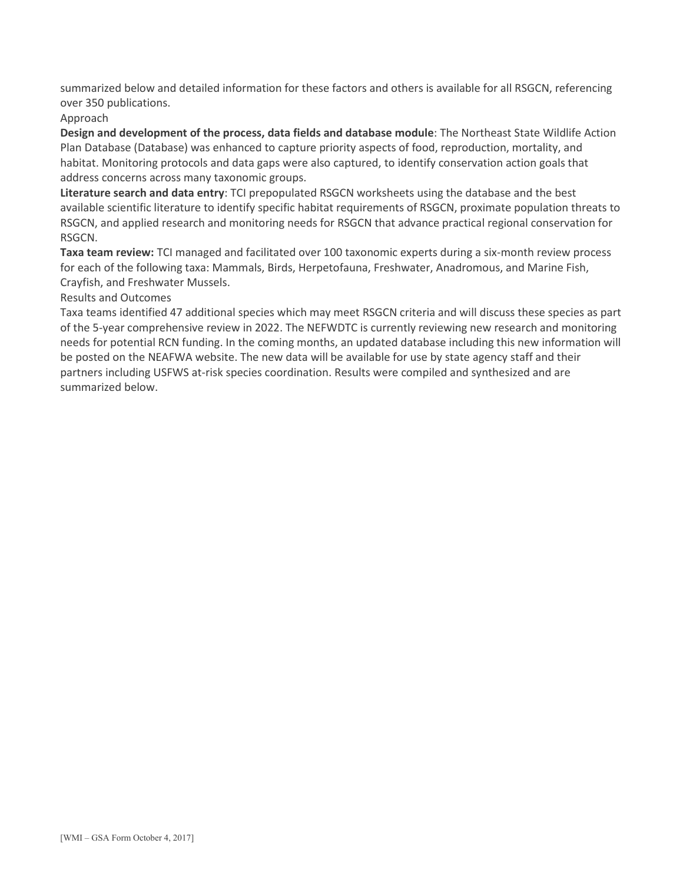summarized below and detailed information for these factors and others is available for all RSGCN, referencing over 350 publications.

Approach

**Design and development of the process, data fields and database module**: The Northeast State Wildlife Action Plan Database (Database) was enhanced to capture priority aspects of food, reproduction, mortality, and habitat. Monitoring protocols and data gaps were also captured, to identify conservation action goals that address concerns across many taxonomic groups.

**Literature search and data entry**: TCI prepopulated RSGCN worksheets using the database and the best available scientific literature to identify specific habitat requirements of RSGCN, proximate population threats to RSGCN, and applied research and monitoring needs for RSGCN that advance practical regional conservation for RSGCN.

**Taxa team review:** TCI managed and facilitated over 100 taxonomic experts during a six-month review process for each of the following taxa: Mammals, Birds, Herpetofauna, Freshwater, Anadromous, and Marine Fish, Crayfish, and Freshwater Mussels.

Results and Outcomes

Taxa teams identified 47 additional species which may meet RSGCN criteria and will discuss these species as part of the 5-year comprehensive review in 2022. The NEFWDTC is currently reviewing new research and monitoring needs for potential RCN funding. In the coming months, an updated database including this new information will be posted on the NEAFWA website. The new data will be available for use by state agency staff and their partners including USFWS at-risk species coordination. Results were compiled and synthesized and are summarized below.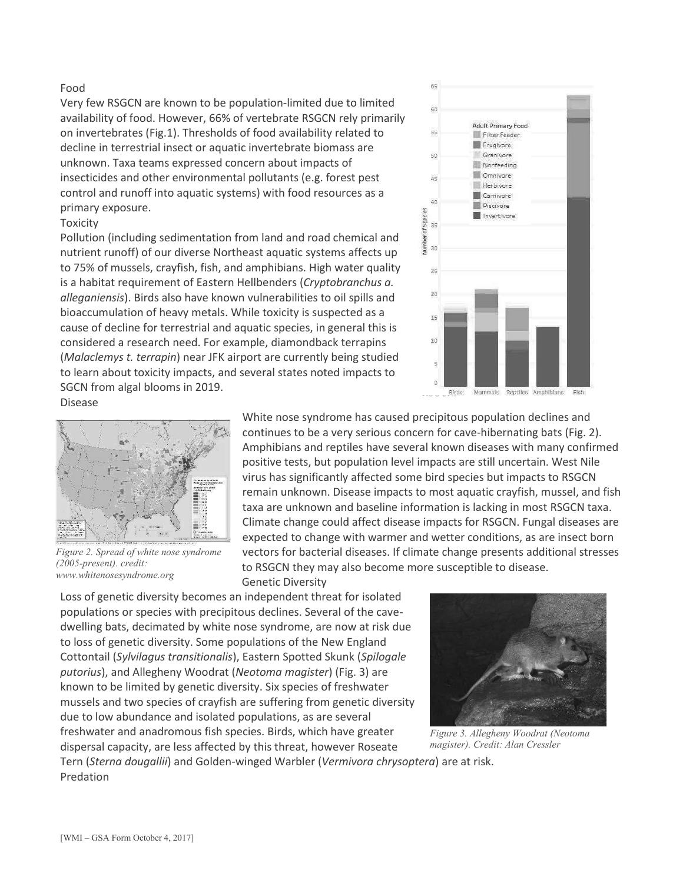#### Food

Very few RSGCN are known to be population-limited due to limited availability of food. However, 66% of vertebrate RSGCN rely primarily on invertebrates (Fig.1). Thresholds of food availability related to decline in terrestrial insect or aquatic invertebrate biomass are unknown. Taxa teams expressed concern about impacts of insecticides and other environmental pollutants (e.g. forest pest control and runoff into aquatic systems) with food resources as a primary exposure.

#### Toxicity

Pollution (including sedimentation from land and road chemical and nutrient runoff) of our diverse Northeast aquatic systems affects up to 75% of mussels, crayfish, fish, and amphibians. High water quality is a habitat requirement of Eastern Hellbenders (*Cryptobranchus a. alleganiensis*). Birds also have known vulnerabilities to oil spills and bioaccumulation of heavy metals. While toxicity is suspected as a cause of decline for terrestrial and aquatic species, in general this is considered a research need. For example, diamondback terrapins (*Malaclemys t. terrapin*) near JFK airport are currently being studied to learn about toxicity impacts, and several states noted impacts to SGCN from algal blooms in 2019.



Disease



*Figure 2. Spread of white nose syndrome (2005-present). credit: www.whitenosesyndrome.org*

White nose syndrome has caused precipitous population declines and continues to be a very serious concern for cave-hibernating bats (Fig. 2). Amphibians and reptiles have several known diseases with many confirmed positive tests, but population level impacts are still uncertain. West Nile virus has significantly affected some bird species but impacts to RSGCN remain unknown. Disease impacts to most aquatic crayfish, mussel, and fish taxa are unknown and baseline information is lacking in most RSGCN taxa. Climate change could affect disease impacts for RSGCN. Fungal diseases are expected to change with warmer and wetter conditions, as are insect born vectors for bacterial diseases. If climate change presents additional stresses to RSGCN they may also become more susceptible to disease. Genetic Diversity

Loss of genetic diversity becomes an independent threat for isolated populations or species with precipitous declines. Several of the cavedwelling bats, decimated by white nose syndrome, are now at risk due to loss of genetic diversity. Some populations of the New England Cottontail (*Sylvilagus transitionalis*), Eastern Spotted Skunk (*Spilogale putorius*), and Allegheny Woodrat (*Neotoma magister*) (Fig. 3) are known to be limited by genetic diversity. Six species of freshwater mussels and two species of crayfish are suffering from genetic diversity due to low abundance and isolated populations, as are several freshwater and anadromous fish species. Birds, which have greater dispersal capacity, are less affected by this threat, however Roseate



*Figure 3. Allegheny Woodrat (Neotoma magister). Credit: Alan Cressler*

Tern (*Sterna dougallii*) and Golden-winged Warbler (*Vermivora chrysoptera*) are at risk. Predation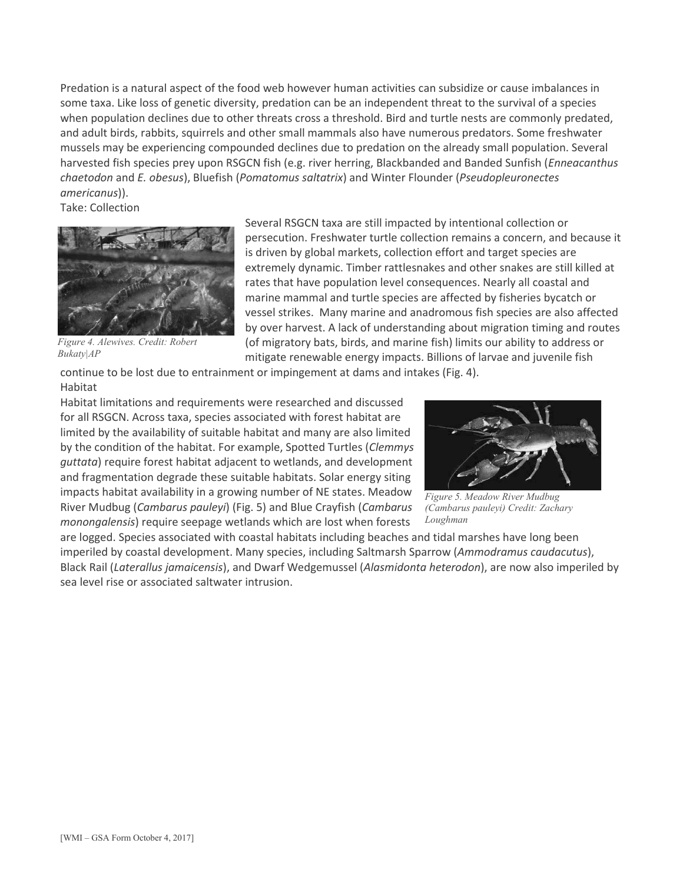Predation is a natural aspect of the food web however human activities can subsidize or cause imbalances in some taxa. Like loss of genetic diversity, predation can be an independent threat to the survival of a species when population declines due to other threats cross a threshold. Bird and turtle nests are commonly predated, and adult birds, rabbits, squirrels and other small mammals also have numerous predators. Some freshwater mussels may be experiencing compounded declines due to predation on the already small population. Several harvested fish species prey upon RSGCN fish (e.g. river herring, Blackbanded and Banded Sunfish (*Enneacanthus chaetodon* and *E. obesus*), Bluefish (*Pomatomus saltatrix*) and Winter Flounder (*Pseudopleuronectes americanus*)).

Take: Collection



*Figure 4. Alewives. Credit: Robert Bukaty|AP*

Several RSGCN taxa are still impacted by intentional collection or persecution. Freshwater turtle collection remains a concern, and because it is driven by global markets, collection effort and target species are extremely dynamic. Timber rattlesnakes and other snakes are still killed at rates that have population level consequences. Nearly all coastal and marine mammal and turtle species are affected by fisheries bycatch or vessel strikes. Many marine and anadromous fish species are also affected by over harvest. A lack of understanding about migration timing and routes (of migratory bats, birds, and marine fish) limits our ability to address or mitigate renewable energy impacts. Billions of larvae and juvenile fish

continue to be lost due to entrainment or impingement at dams and intakes (Fig. 4). Habitat

Habitat limitations and requirements were researched and discussed for all RSGCN. Across taxa, species associated with forest habitat are limited by the availability of suitable habitat and many are also limited by the condition of the habitat. For example, Spotted Turtles (*Clemmys guttata*) require forest habitat adjacent to wetlands, and development and fragmentation degrade these suitable habitats. Solar energy siting impacts habitat availability in a growing number of NE states. Meadow River Mudbug (*Cambarus pauleyi*) (Fig. 5) and Blue Crayfish (*Cambarus monongalensis*) require seepage wetlands which are lost when forests



*Figure 5. Meadow River Mudbug (Cambarus pauleyi) Credit: Zachary Loughman*

are logged. Species associated with coastal habitats including beaches and tidal marshes have long been imperiled by coastal development. Many species, including Saltmarsh Sparrow (*Ammodramus caudacutus*), Black Rail (*Laterallus jamaicensis*), and Dwarf Wedgemussel (*Alasmidonta heterodon*), are now also imperiled by sea level rise or associated saltwater intrusion.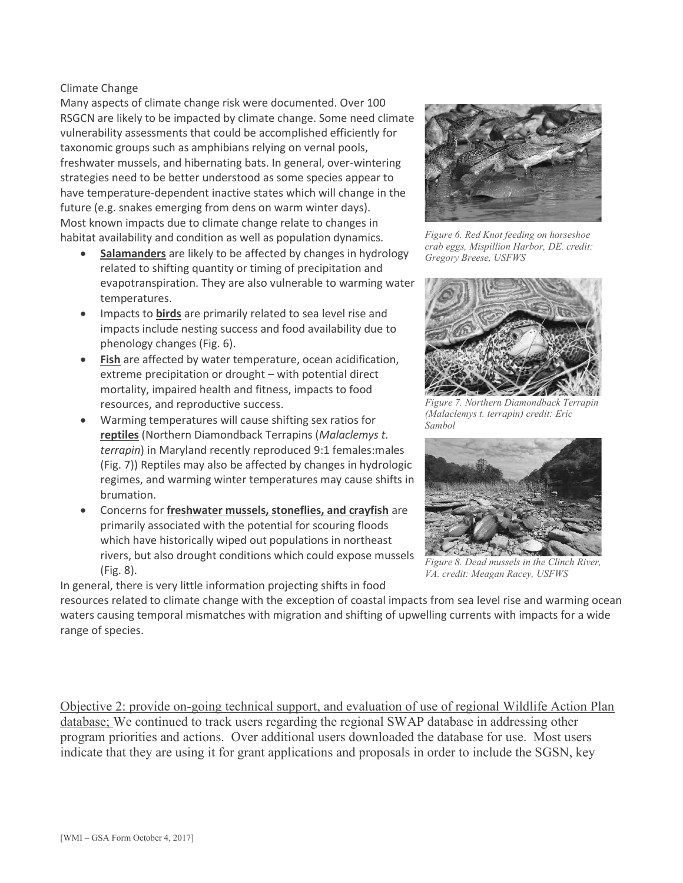#### Climate Change

Many aspects of climate change risk were documented. Over 100 RSGCN are likely to be impacted by climate change. Some need climate vulnerability assessments that could be accomplished efficiently for taxonomic groups such as amphibians relying on vernal pools, freshwater mussels, and hibernating bats. In general, over-wintering strategies need to be better understood as some species appear to have temperature-dependent inactive states which will change in the future (e.g. snakes emerging from dens on warm winter days). Most known impacts due to climate change relate to changes in habitat availability and condition as well as population dynamics.

- **Salamanders** are likely to be affected by changes in hydrology related to shifting quantity or timing of precipitation and evapotranspiration. They are also vulnerable to warming water temperatures.
- · Impacts to **birds** are primarily related to sea level rise and impacts include nesting success and food availability due to phenology changes (Fig. 6).
- **Fish** are affected by water temperature, ocean acidification, extreme precipitation or drought – with potential direct mortality, impaired health and fitness, impacts to food resources, and reproductive success.
- · Warming temperatures will cause shifting sex ratios for **reptiles** (Northern Diamondback Terrapins (*Malaclemys t. terrapin*) in Maryland recently reproduced 9:1 females:males (Fig. 7)) Reptiles may also be affected by changes in hydrologic regimes, and warming winter temperatures may cause shifts in brumation.
- · Concerns for **freshwater mussels, stoneflies, and crayfish** are primarily associated with the potential for scouring floods which have historically wiped out populations in northeast rivers, but also drought conditions which could expose mussels (Fig. 8).

In general, there is very little information projecting shifts in food



*Figure 6. Red Knot feeding on horseshoe crab eggs, Mispillion Harbor, DE. credit: Gregory Breese, USFWS*



*Figure 7. Northern Diamondback Terrapin (Malaclemys t. terrapin) credit: Eric Sambol*



*Figure 8. Dead mussels in the Clinch River, VA. credit: Meagan Racey, USFWS*

resources related to climate change with the exception of coastal impacts from sea level rise and warming ocean waters causing temporal mismatches with migration and shifting of upwelling currents with impacts for a wide range of species.

Objective 2: provide on-going technical support, and evaluation of use of regional Wildlife Action Plan database; We continued to track users regarding the regional SWAP database in addressing other program priorities and actions. Over additional users downloaded the database for use. Most users indicate that they are using it for grant applications and proposals in order to include the SGSN, key